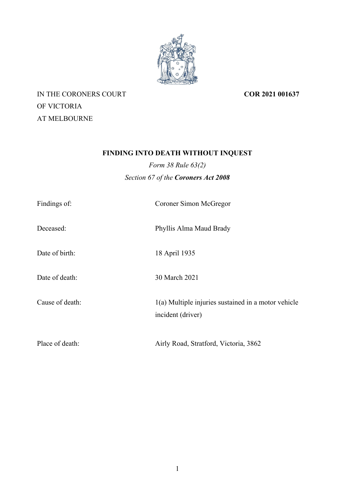

IN THE CORONERS COURT OF VICTORIA AT MELBOURNE

**COR 2021 001637**

# **FINDING INTO DEATH WITHOUT INQUEST**

*Form 38 Rule 63(2) Section 67 of the Coroners Act 2008*

| Findings of:    | Coroner Simon McGregor                                                     |
|-----------------|----------------------------------------------------------------------------|
| Deceased:       | Phyllis Alma Maud Brady                                                    |
| Date of birth:  | 18 April 1935                                                              |
| Date of death:  | 30 March 2021                                                              |
| Cause of death: | $1(a)$ Multiple injuries sustained in a motor vehicle<br>incident (driver) |
| Place of death: | Airly Road, Stratford, Victoria, 3862                                      |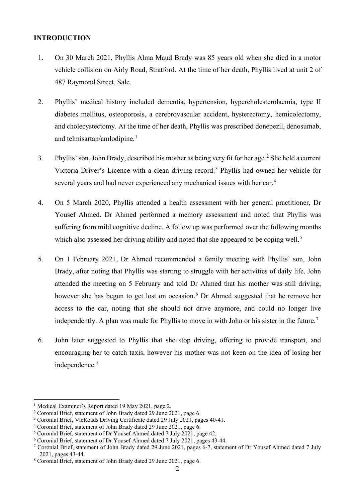#### **INTRODUCTION**

- 1. On 30 March 2021, Phyllis Alma Maud Brady was 85 years old when she died in a motor vehicle collision on Airly Road, Stratford. At the time of her death, Phyllis lived at unit 2 of 487 Raymond Street, Sale.
- 2. Phyllis' medical history included dementia, hypertension, hypercholesterolaemia, type II diabetes mellitus, osteoporosis, a cerebrovascular accident, hysterectomy, hemicolectomy, and cholecystectomy. At the time of her death, Phyllis was prescribed donepezil, denosumab, and telmisartan/amlodipine. $1$
- 3. Phyllis' son, John Brady, described his mother as being very fit for her age.<sup>[2](#page-1-1)</sup> She held a current Victoria Driver's Licence with a clean driving record.[3](#page-1-2) Phyllis had owned her vehicle for several years and had never experienced any mechanical issues with her car.<sup>[4](#page-1-3)</sup>
- 4. On 5 March 2020, Phyllis attended a health assessment with her general practitioner, Dr Yousef Ahmed. Dr Ahmed performed a memory assessment and noted that Phyllis was suffering from mild cognitive decline. A follow up was performed over the following months which also assessed her driving ability and noted that she appeared to be coping well.<sup>[5](#page-1-4)</sup>
- 5. On 1 February 2021, Dr Ahmed recommended a family meeting with Phyllis' son, John Brady, after noting that Phyllis was starting to struggle with her activities of daily life. John attended the meeting on 5 February and told Dr Ahmed that his mother was still driving, however she has begun to get lost on occasion.<sup>[6](#page-1-5)</sup> Dr Ahmed suggested that he remove her access to the car, noting that she should not drive anymore, and could no longer live independently. A plan was made for Phyllis to move in with John or his sister in the future.<sup>[7](#page-1-6)</sup>
- 6. John later suggested to Phyllis that she stop driving, offering to provide transport, and encouraging her to catch taxis, however his mother was not keen on the idea of losing her independence.<sup>[8](#page-1-7)</sup>

<span id="page-1-0"></span><sup>&</sup>lt;sup>1</sup> Medical Examiner's Report dated 19 May 2021, page 2.

<span id="page-1-1"></span><sup>2</sup> Coronial Brief, statement of John Brady dated 29 June 2021, page 6.

<span id="page-1-2"></span><sup>&</sup>lt;sup>3</sup> Coronial Brief, VicRoads Driving Certificate dated 29 July 2021, pages 40-41.

<span id="page-1-3"></span><sup>4</sup> Coronial Brief, statement of John Brady dated 29 June 2021, page 6.

<span id="page-1-4"></span><sup>5</sup> Coronial Brief, statement of Dr Yousef Ahmed dated 7 July 2021, page 42.

<span id="page-1-5"></span><sup>6</sup> Coronial Brief, statement of Dr Yousef Ahmed dated 7 July 2021, pages 43-44.

<span id="page-1-6"></span><sup>7</sup> Coronial Brief, statement of John Brady dated 29 June 2021, pages 6-7, statement of Dr Yousef Ahmed dated 7 July 2021, pages 43-44.

<span id="page-1-7"></span><sup>8</sup> Coronial Brief, statement of John Brady dated 29 June 2021, page 6.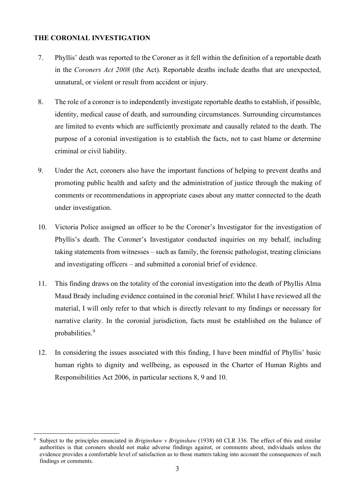# **THE CORONIAL INVESTIGATION**

- 7. Phyllis' death was reported to the Coroner as it fell within the definition of a reportable death in the *Coroners Act 2008* (the Act). Reportable deaths include deaths that are unexpected, unnatural, or violent or result from accident or injury.
- 8. The role of a coroner is to independently investigate reportable deaths to establish, if possible, identity, medical cause of death, and surrounding circumstances. Surrounding circumstances are limited to events which are sufficiently proximate and causally related to the death. The purpose of a coronial investigation is to establish the facts, not to cast blame or determine criminal or civil liability.
- 9. Under the Act, coroners also have the important functions of helping to prevent deaths and promoting public health and safety and the administration of justice through the making of comments or recommendations in appropriate cases about any matter connected to the death under investigation.
- 10. Victoria Police assigned an officer to be the Coroner's Investigator for the investigation of Phyllis's death. The Coroner's Investigator conducted inquiries on my behalf, including taking statements from witnesses – such as family, the forensic pathologist, treating clinicians and investigating officers – and submitted a coronial brief of evidence.
- 11. This finding draws on the totality of the coronial investigation into the death of Phyllis Alma Maud Brady including evidence contained in the coronial brief. Whilst I have reviewed all the material, I will only refer to that which is directly relevant to my findings or necessary for narrative clarity. In the coronial jurisdiction, facts must be established on the balance of probabilities.<sup>[9](#page-2-0)</sup>
- 12. In considering the issues associated with this finding, I have been mindful of Phyllis' basic human rights to dignity and wellbeing, as espoused in the Charter of Human Rights and Responsibilities Act 2006, in particular sections 8, 9 and 10.

<span id="page-2-0"></span><sup>9</sup> Subject to the principles enunciated in *Briginshaw v Briginshaw* (1938) 60 CLR 336. The effect of this and similar authorities is that coroners should not make adverse findings against, or comments about, individuals unless the evidence provides a comfortable level of satisfaction as to those matters taking into account the consequences of such findings or comments.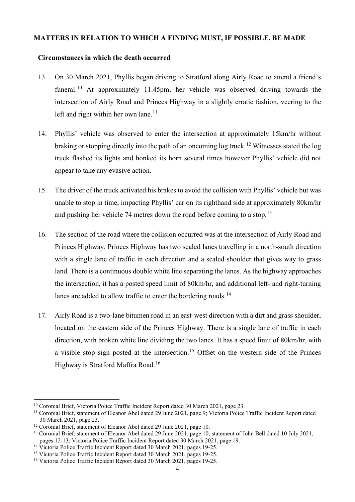#### **MATTERS IN RELATION TO WHICH A FINDING MUST, IF POSSIBLE, BE MADE**

## **Circumstances in which the death occurred**

- 13. On 30 March 2021, Phyllis began driving to Stratford along Airly Road to attend a friend's funeral.<sup>[10](#page-3-0)</sup> At approximately 11.45pm, her vehicle was observed driving towards the intersection of Airly Road and Princes Highway in a slightly erratic fashion, veering to the left and right within her own lane. $11$
- 14. Phyllis' vehicle was observed to enter the intersection at approximately 15km/hr without braking or stopping directly into the path of an oncoming log truck.<sup>[12](#page-3-2)</sup> Witnesses stated the log truck flashed its lights and honked its horn several times however Phyllis' vehicle did not appear to take any evasive action.
- 15. The driver of the truck activated his brakes to avoid the collision with Phyllis' vehicle but was unable to stop in time, impacting Phyllis' car on its righthand side at approximately 80km/hr and pushing her vehicle 74 metres down the road before coming to a stop.<sup>[13](#page-3-3)</sup>
- 16. The section of the road where the collision occurred was at the intersection of Airly Road and Princes Highway. Princes Highway has two sealed lanes travelling in a north-south direction with a single lane of traffic in each direction and a sealed shoulder that gives way to grass land. There is a continuous double white line separating the lanes. As the highway approaches the intersection, it has a posted speed limit of 80km/hr, and additional left- and right-turning lanes are added to allow traffic to enter the bordering roads.<sup>[14](#page-3-4)</sup>
- 17. Airly Road is a two-lane bitumen road in an east-west direction with a dirt and grass shoulder, located on the eastern side of the Princes Highway. There is a single lane of traffic in each direction, with broken white line dividing the two lanes. It has a speed limit of 80km/hr, with a visible stop sign posted at the intersection.<sup>[15](#page-3-5)</sup> Offset on the western side of the Princes Highway is Stratford Maffra Road.[16](#page-3-6)

<span id="page-3-0"></span><sup>&</sup>lt;sup>10</sup> Coronial Brief, Victoria Police Traffic Incident Report dated 30 March 2021, page 23.

<span id="page-3-1"></span><sup>&</sup>lt;sup>11</sup> Coronial Brief, statement of Eleanor Abel dated 29 June 2021, page 9; Victoria Police Traffic Incident Report dated 30 March 2021, page 23.

<span id="page-3-2"></span><sup>&</sup>lt;sup>12</sup> Coronial Brief, statement of Eleanor Abel dated 29 June 2021, page 10.

<span id="page-3-3"></span><sup>&</sup>lt;sup>13</sup> Coronial Brief, statement of Eleanor Abel dated 29 June 2021, page 10; statement of John Bell dated 10 July 2021, pages 12-13; Victoria Police Traffic Incident Report dated 30 March 2021, page 19.

<span id="page-3-4"></span><sup>&</sup>lt;sup>14</sup> Victoria Police Traffic Incident Report dated 30 March 2021, pages 19-25.

<span id="page-3-5"></span><sup>&</sup>lt;sup>15</sup> Victoria Police Traffic Incident Report dated 30 March 2021, pages 19-25.

<span id="page-3-6"></span><sup>16</sup> Victoria Police Traffic Incident Report dated 30 March 2021, pages 19-25.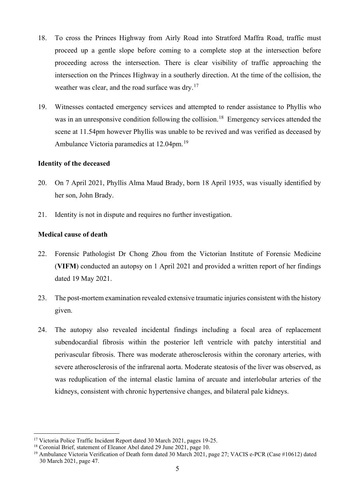- 18. To cross the Princes Highway from Airly Road into Stratford Maffra Road, traffic must proceed up a gentle slope before coming to a complete stop at the intersection before proceeding across the intersection. There is clear visibility of traffic approaching the intersection on the Princes Highway in a southerly direction. At the time of the collision, the weather was clear, and the road surface was dry.<sup>[17](#page-4-0)</sup>
- 19. Witnesses contacted emergency services and attempted to render assistance to Phyllis who was in an unresponsive condition following the collision.<sup>[18](#page-4-1)</sup> Emergency services attended the scene at 11.54pm however Phyllis was unable to be revived and was verified as deceased by Ambulance Victoria paramedics at 12.04pm.<sup>[19](#page-4-2)</sup>

#### **Identity of the deceased**

- 20. On 7 April 2021, Phyllis Alma Maud Brady, born 18 April 1935, was visually identified by her son, John Brady.
- 21. Identity is not in dispute and requires no further investigation.

## **Medical cause of death**

- 22. Forensic Pathologist Dr Chong Zhou from the Victorian Institute of Forensic Medicine (**VIFM**) conducted an autopsy on 1 April 2021 and provided a written report of her findings dated 19 May 2021.
- 23. The post-mortem examination revealed extensive traumatic injuries consistent with the history given.
- 24. The autopsy also revealed incidental findings including a focal area of replacement subendocardial fibrosis within the posterior left ventricle with patchy interstitial and perivascular fibrosis. There was moderate atherosclerosis within the coronary arteries, with severe atherosclerosis of the infrarenal aorta. Moderate steatosis of the liver was observed, as was reduplication of the internal elastic lamina of arcuate and interlobular arteries of the kidneys, consistent with chronic hypertensive changes, and bilateral pale kidneys.

<span id="page-4-0"></span><sup>&</sup>lt;sup>17</sup> Victoria Police Traffic Incident Report dated 30 March 2021, pages 19-25.

<span id="page-4-1"></span><sup>&</sup>lt;sup>18</sup> Coronial Brief, statement of Eleanor Abel dated 29 June 2021, page 10.

<span id="page-4-2"></span><sup>&</sup>lt;sup>19</sup> Ambulance Victoria Verification of Death form dated 30 March 2021, page 27; VACIS e-PCR (Case #10612) dated 30 March 2021, page 47.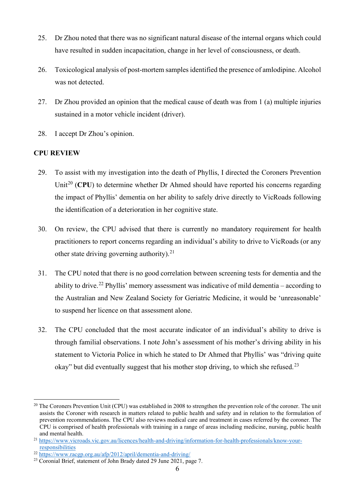- 25. Dr Zhou noted that there was no significant natural disease of the internal organs which could have resulted in sudden incapacitation, change in her level of consciousness, or death.
- 26. Toxicological analysis of post-mortem samplesidentified the presence of amlodipine. Alcohol was not detected.
- 27. Dr Zhou provided an opinion that the medical cause of death was from 1 (a) multiple injuries sustained in a motor vehicle incident (driver).
- 28. I accept Dr Zhou's opinion.

# **CPU REVIEW**

- 29. To assist with my investigation into the death of Phyllis, I directed the Coroners Prevention Unit<sup>[20](#page-5-0)</sup> (CPU) to determine whether Dr Ahmed should have reported his concerns regarding the impact of Phyllis' dementia on her ability to safely drive directly to VicRoads following the identification of a deterioration in her cognitive state.
- 30. On review, the CPU advised that there is currently no mandatory requirement for health practitioners to report concerns regarding an individual's ability to drive to VicRoads (or any other state driving governing authority).<sup>[21](#page-5-1)</sup>
- 31. The CPU noted that there is no good correlation between screening tests for dementia and the ability to drive.<sup>[22](#page-5-2)</sup> Phyllis' memory assessment was indicative of mild dementia – according to the Australian and New Zealand Society for Geriatric Medicine, it would be 'unreasonable' to suspend her licence on that assessment alone.
- 32. The CPU concluded that the most accurate indicator of an individual's ability to drive is through familial observations. I note John's assessment of his mother's driving ability in his statement to Victoria Police in which he stated to Dr Ahmed that Phyllis' was "driving quite okay" but did eventually suggest that his mother stop driving, to which she refused.<sup>[23](#page-5-3)</sup>

<span id="page-5-0"></span> $20$  The Coroners Prevention Unit (CPU) was established in 2008 to strengthen the prevention role of the coroner. The unit assists the Coroner with research in matters related to public health and safety and in relation to the formulation of prevention recommendations. The CPU also reviews medical care and treatment in cases referred by the coroner. The CPU is comprised of health professionals with training in a range of areas including medicine, nursing, public health and mental health.

<span id="page-5-1"></span><sup>21</sup> [https://www.vicroads.vic.gov.au/licences/health-and-driving/information-for-health-professionals/know-your](https://www.vicroads.vic.gov.au/licences/health-and-driving/information-for-health-professionals/know-your-responsibilities)[responsibilities](https://www.vicroads.vic.gov.au/licences/health-and-driving/information-for-health-professionals/know-your-responsibilities)

<span id="page-5-2"></span><sup>22</sup> <https://www.racgp.org.au/afp/2012/april/dementia-and-driving/>

<span id="page-5-3"></span><sup>&</sup>lt;sup>23</sup> Coronial Brief, statement of John Brady dated 29 June 2021, page 7.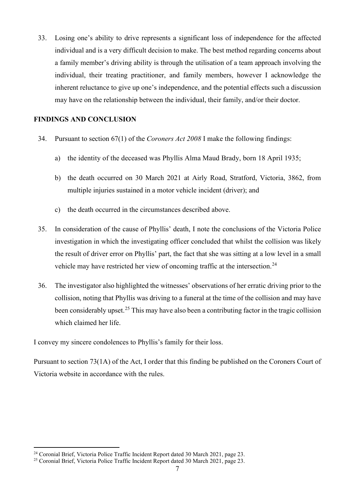33. Losing one's ability to drive represents a significant loss of independence for the affected individual and is a very difficult decision to make. The best method regarding concerns about a family member's driving ability is through the utilisation of a team approach involving the individual, their treating practitioner, and family members, however I acknowledge the inherent reluctance to give up one's independence, and the potential effects such a discussion may have on the relationship between the individual, their family, and/or their doctor.

## **FINDINGS AND CONCLUSION**

- 34. Pursuant to section 67(1) of the *Coroners Act 2008* I make the following findings:
	- a) the identity of the deceased was Phyllis Alma Maud Brady, born 18 April 1935;
	- b) the death occurred on 30 March 2021 at Airly Road, Stratford, Victoria, 3862, from multiple injuries sustained in a motor vehicle incident (driver); and
	- c) the death occurred in the circumstances described above.
- 35. In consideration of the cause of Phyllis' death, I note the conclusions of the Victoria Police investigation in which the investigating officer concluded that whilst the collision was likely the result of driver error on Phyllis' part, the fact that she was sitting at a low level in a small vehicle may have restricted her view of oncoming traffic at the intersection.<sup>[24](#page-6-0)</sup>
- 36. The investigator also highlighted the witnesses' observations of her erratic driving prior to the collision, noting that Phyllis was driving to a funeral at the time of the collision and may have been considerably upset.<sup>[25](#page-6-1)</sup> This may have also been a contributing factor in the tragic collision which claimed her life.

I convey my sincere condolences to Phyllis's family for their loss.

Pursuant to section 73(1A) of the Act, I order that this finding be published on the Coroners Court of Victoria website in accordance with the rules.

<sup>&</sup>lt;sup>24</sup> Coronial Brief, Victoria Police Traffic Incident Report dated 30 March 2021, page 23.

<span id="page-6-1"></span><span id="page-6-0"></span><sup>&</sup>lt;sup>25</sup> Coronial Brief, Victoria Police Traffic Incident Report dated 30 March 2021, page 23.